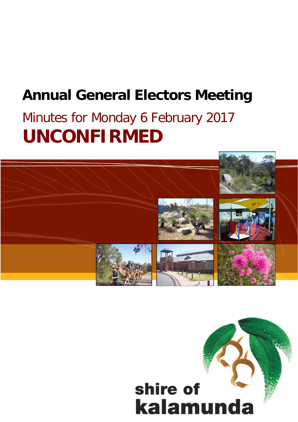# **Annual General Electors Meeting**

# Minutes for Monday 6 February 2017 **UNCONFIRMED**



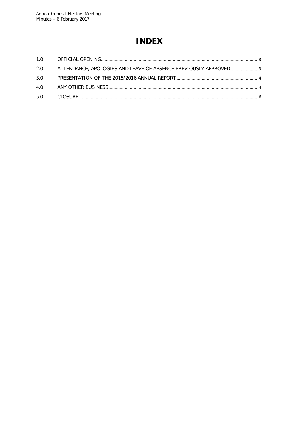# **INDEX**

| 2.0 ATTENDANCE, APOLOGIES AND LEAVE OF ABSENCE PREVIOUSLY APPROVED3 |  |
|---------------------------------------------------------------------|--|
|                                                                     |  |
|                                                                     |  |
|                                                                     |  |
|                                                                     |  |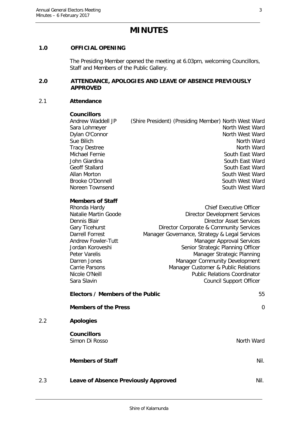# **MINUTES**

# <span id="page-2-0"></span>**1.0 OFFICIAL OPENING**

The Presiding Member opened the meeting at 6.03pm, welcoming Councillors, Staff and Members of the Public Gallery.

## <span id="page-2-1"></span>**2.0 ATTENDANCE, APOLOGIES AND LEAVE OF ABSENCE PREVIOUSLY APPROVED**

### 2.1 **Attendance**

2.2 **Apologies**

#### **Councillors**

Andrew Waddell JP (Shire President) (Presiding Member) North West Ward Sara Lohmeyer North West Ward Dylan O'Connor North West Ward Sue Bilich North Ward Tracy Destree North Ward Michael Fernie South East Ward John Giardina South East Ward Geoff Stallard South East Ward Allan Morton South West Ward Brooke O'Donnell **South West Ward** Noreen Townsend **Noreen** Townsend South West Ward

# **Members of Staff**

| Rhonda Hardy         | <b>Chief Executive Officer</b>                |  |  |
|----------------------|-----------------------------------------------|--|--|
| Natalie Martin Goode | <b>Director Development Services</b>          |  |  |
| Dennis Blair         | <b>Director Asset Services</b>                |  |  |
| Gary Ticehurst       | Director Corporate & Community Services       |  |  |
| Darrell Forrest      | Manager Governance, Strategy & Legal Services |  |  |
| Andrew Fowler-Tutt   | <b>Manager Approval Services</b>              |  |  |
| Jordan Koroveshi     | Senior Strategic Planning Officer             |  |  |
| Peter Varelis        | Manager Strategic Planning                    |  |  |
| Darren Jones         | Manager Community Development                 |  |  |
| Carrie Parsons       | Manager Customer & Public Relations           |  |  |
| Nicole O'Neill       | <b>Public Relations Coordinator</b>           |  |  |
| Sara Slavin          | <b>Council Support Officer</b>                |  |  |
|                      |                                               |  |  |

|     | Electors / Members of the Public            | 55         |
|-----|---------------------------------------------|------------|
|     | <b>Members of the Press</b>                 | $\Omega$   |
| 2.2 | <b>Apologies</b>                            |            |
|     | <b>Councillors</b><br>Simon Di Rosso        | North Ward |
|     | <b>Members of Staff</b>                     | Nil.       |
| 2.3 | <b>Leave of Absence Previously Approved</b> | Nil.       |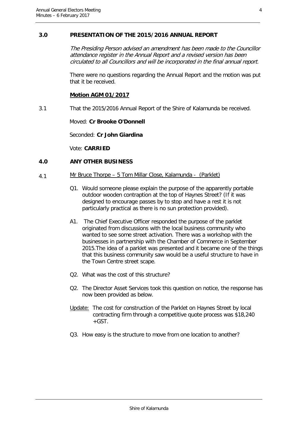# <span id="page-3-0"></span>**3.0 PRESENTATION OF THE 2015/2016 ANNUAL REPORT**

The Presiding Person advised an amendment has been made to the Councillor attendance register in the Annual Report and a revised version has been circulated to all Councillors and will be incorporated in the final annual report.

There were no questions regarding the Annual Report and the motion was put that it be received.

## **Motion AGM 01/2017**

3.1 That the 2015/2016 Annual Report of the Shire of Kalamunda be received.

Moved: **Cr Brooke O'Donnell**

Seconded: **Cr John Giardina**

Vote: **CARRIED**

# <span id="page-3-1"></span>**4.0 ANY OTHER BUSINESS**

- 4.1 Mr Bruce Thorpe 5 Tom Millar Close, Kalamunda (Parklet)
	- Q1. Would someone please explain the purpose of the apparently portable outdoor wooden contraption at the top of Haynes Street? (If it was designed to encourage passes by to stop and have a rest it is not particularly practical as there is no sun protection provided).
	- A1. The Chief Executive Officer responded the purpose of the parklet originated from discussions with the local business community who wanted to see some street activation. There was a workshop with the businesses in partnership with the Chamber of Commerce in September 2015.The idea of a parklet was presented and it became one of the things that this business community saw would be a useful structure to have in the Town Centre street scape.
	- Q2. What was the cost of this structure?
	- Q2. The Director Asset Services took this question on notice, the response has now been provided as below.
	- Update: The cost for construction of the Parklet on Haynes Street by local contracting firm through a competitive quote process was \$18,240  $+$ GST.
	- Q3. How easy is the structure to move from one location to another?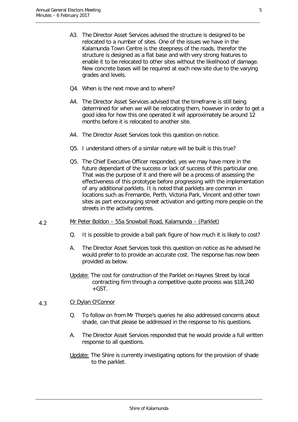- A3. The Director Asset Services advised the structure is designed to be relocated to a number of sites. One of the issues we have in the Kalamunda Town Centre is the steepness of the roads, therefor the structure is designed as a flat base and with very strong features to enable it to be relocated to other sites without the likelihood of damage. New concrete bases will be required at each new site due to the varying grades and levels.
- Q4. When is the next move and to where?
- A4. The Director Asset Services advised that the timeframe is still being determined for when we will be relocating them, however in order to get a good idea for how this one operated it will approximately be around 12 months before it is relocated to another site.
- A4. The Director Asset Services took this question on notice.
- Q5. I understand others of a similar nature will be built is this true?
- Q5. The Chief Executive Officer responded, yes we may have more in the future dependant of the success or lack of success of this particular one. That was the purpose of it and there will be a process of assessing the effectiveness of this prototype before progressing with the implementation of any additional parklets. It is noted that parklets are common in locations such as Fremantle, Perth, Victoria Park, Vincent and other town sites as part encouraging street activation and getting more people on the streets in the activity centres.
- 4.2 Mr Peter Boldon 55a Snowball Road, Kalamunda (Parklet)
	- Q. It is possible to provide a ball park figure of how much it is likely to cost?
	- A. The Director Asset Services took this question on notice as he advised he would prefer to to provide an accurate cost. The response has now been provided as below.
	- Update: The cost for construction of the Parklet on Haynes Street by local contracting firm through a competitive quote process was \$18,240  $+$ GST.

# 4.3 Cr Dylan O'Connor

- Q. To follow on from Mr Thorpe's queries he also addressed concerns about shade, can that please be addressed in the response to his questions.
- A. The Director Asset Services responded that he would provide a full written response to all questions.
- Update: The Shire is currently investigating options for the provision of shade to the parklet.